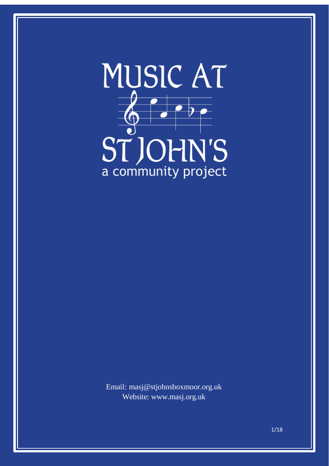

Email: [masj@stjohnsboxmoor.org.uk](mailto:masj@stjohnsboxmoor.org.uk) Website: [www.masj.org.uk](http://www.masj.org.uk/)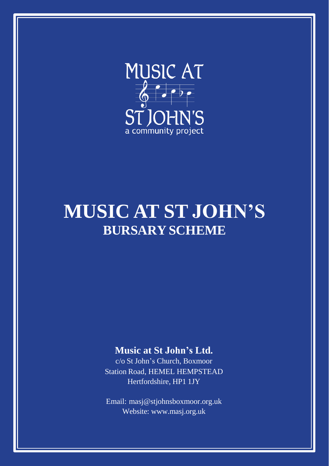

# **MUSIC AT ST JOHN'S BURSARY SCHEME**

#### **Music at St John's Ltd.**

c/o St John's Church, Boxmoor Station Road, HEMEL HEMPSTEAD Hertfordshire, HP1 1JY

Email: [masj@stjohnsboxmoor.org.uk](mailto:office@stjohnsboxmoor.org.uk) Website: [www.masj.org.uk](http://www.masj.org.uk/)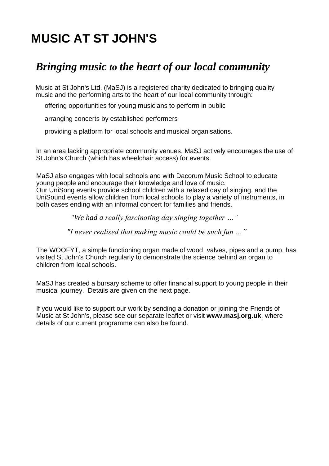## **MUSIC AT ST JOHN'S**

### *Bringing music to the heart of our local community*

Music at St John's Ltd. (MaSJ) is a registered charity dedicated to bringing quality music and the performing arts to the heart of our local community through:

offering opportunities for young musicians to perform in public

arranging concerts by established performers

providing a platform for local schools and musical organisations.

In an area lacking appropriate community venues, MaSJ actively encourages the use of St John's Church (which has wheelchair access) for events.

MaSJ also engages with local schools and with Dacorum Music School to educate young people and encourage their knowledge and love of music. Our UniSong events provide school children with a relaxed day of singing, and the UniSound events allow children from local schools to play a variety of instruments, in both cases ending with an informal concert for families and friends.

*"We had a really fascinating day singing together …"*

*"I never realised that making music could be such fun …"*

The WOOFYT, a simple functioning organ made of wood, valves, pipes and a pump, has visited St John's Church regularly to demonstrate the science behind an organ to children from local schools.

MaSJ has created a bursary scheme to offer financial support to young people in their musical journey. Details are given on the next page.

If you would like to support our work by sending a donation or joining the Friends of Music at St John's, please see our separate leaflet or visit **[www.masj.org.uk](http://www.masj.org.uk/)**, where details of our current programme can also be found.